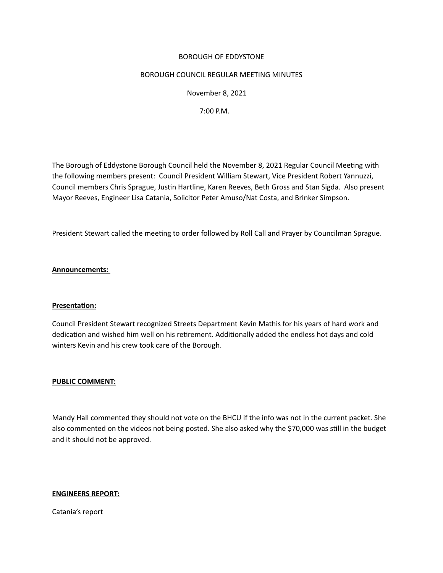## BOROUGH OF EDDYSTONE

## BOROUGH COUNCIL REGULAR MEETING MINUTES

 November 8, 2021

 7:00 P.M.

The Borough of Eddystone Borough Council held the November 8, 2021 Regular Council Meetng with the following members present: Council President William Stewart, Vice President Robert Yannuzzi, Council members Chris Sprague, Justin Hartline, Karen Reeves, Beth Gross and Stan Sigda. Also present Mayor Reeves, Engineer Lisa Catania, Solicitor Peter Amuso/Nat Costa, and Brinker Simpson. 

President Stewart called the meeting to order followed by Roll Call and Prayer by Councilman Sprague.

## **Announcements:**

#### **Presentaton:**

Council President Stewart recognized Streets Department Kevin Mathis for his years of hard work and dedication and wished him well on his retirement. Additionally added the endless hot days and cold winters Kevin and his crew took care of the Borough.

#### **PUBLIC COMMENT:**

Mandy Hall commented they should not vote on the BHCU if the info was not in the current packet. She also commented on the videos not being posted. She also asked why the \$70,000 was stll in the budget and it should not be approved.

#### **ENGINEERS REPORT:**

Catania's report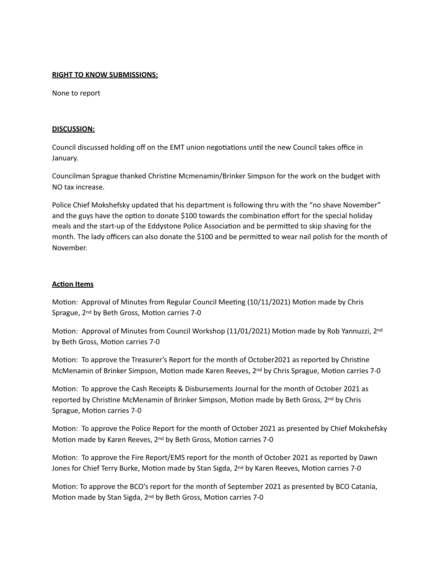## **RIGHT TO KNOW SUBMISSIONS:**

None to report

## **DISCUSSION:**

Council discussed holding off on the EMT union negotiations until the new Council takes office in January.

Councilman Sprague thanked Christne Mcmenamin/Brinker Simpson for the work on the budget with NO tax increase.

Police Chief Mokshefsky updated that his department is following thru with the "no shave November" and the guys have the option to donate \$100 towards the combination effort for the special holiday meals and the start-up of the Eddystone Police Associaton and be permited to skip shaving for the month. The lady officers can also donate the \$100 and be permited to wear nail polish for the month of November.

# **Acton Items**

Motion: Approval of Minutes from Regular Council Meeting (10/11/2021) Motion made by Chris Sprague, 2<sup>nd</sup> by Beth Gross, Motion carries 7-0

Motion: Approval of Minutes from Council Workshop (11/01/2021) Motion made by Rob Yannuzzi, 2<sup>nd</sup> by Beth Gross, Motion carries 7-0

Motion: To approve the Treasurer's Report for the month of October2021 as reported by Christine McMenamin of Brinker Simpson, Motion made Karen Reeves, 2<sup>nd</sup> by Chris Sprague, Motion carries 7-0

Motion: To approve the Cash Receipts & Disbursements Journal for the month of October 2021 as reported by Christine McMenamin of Brinker Simpson, Motion made by Beth Gross, 2<sup>nd</sup> by Chris Sprague, Motion carries 7-0

Motion: To approve the Police Report for the month of October 2021 as presented by Chief Mokshefsky Motion made by Karen Reeves,  $2^{nd}$  by Beth Gross, Motion carries 7-0

Motion: To approve the Fire Report/EMS report for the month of October 2021 as reported by Dawn Jones for Chief Terry Burke, Motion made by Stan Sigda, 2<sup>nd</sup> by Karen Reeves, Motion carries 7-0

Motion: To approve the BCO's report for the month of September 2021 as presented by BCO Catania, Motion made by Stan Sigda, 2<sup>nd</sup> by Beth Gross, Motion carries 7-0